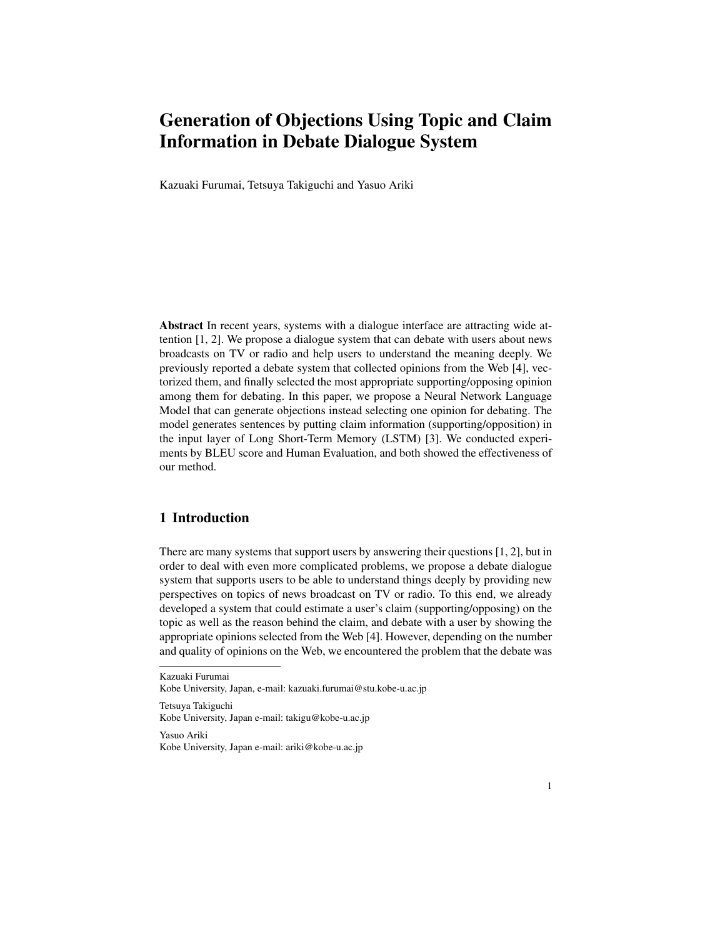# Generation of Objections Using Topic and Claim Information in Debate Dialogue System

Kazuaki Furumai, Tetsuya Takiguchi and Yasuo Ariki

Abstract In recent years, systems with a dialogue interface are attracting wide attention [1, 2]. We propose a dialogue system that can debate with users about news broadcasts on TV or radio and help users to understand the meaning deeply. We previously reported a debate system that collected opinions from the Web [4], vectorized them, and finally selected the most appropriate supporting/opposing opinion among them for debating. In this paper, we propose a Neural Network Language Model that can generate objections instead selecting one opinion for debating. The model generates sentences by putting claim information (supporting/opposition) in the input layer of Long Short-Term Memory (LSTM) [3]. We conducted experiments by BLEU score and Human Evaluation, and both showed the effectiveness of our method.

# 1 Introduction

There are many systems that support users by answering their questions [1, 2], but in order to deal with even more complicated problems, we propose a debate dialogue system that supports users to be able to understand things deeply by providing new perspectives on topics of news broadcast on TV or radio. To this end, we already developed a system that could estimate a user's claim (supporting/opposing) on the topic as well as the reason behind the claim, and debate with a user by showing the appropriate opinions selected from the Web [4]. However, depending on the number and quality of opinions on the Web, we encountered the problem that the debate was

Tetsuya Takiguchi Kobe University, Japan e-mail: takigu@kobe-u.ac.jp

Yasuo Ariki Kobe University, Japan e-mail: ariki@kobe-u.ac.jp

Kazuaki Furumai

Kobe University, Japan, e-mail: kazuaki.furumai@stu.kobe-u.ac.jp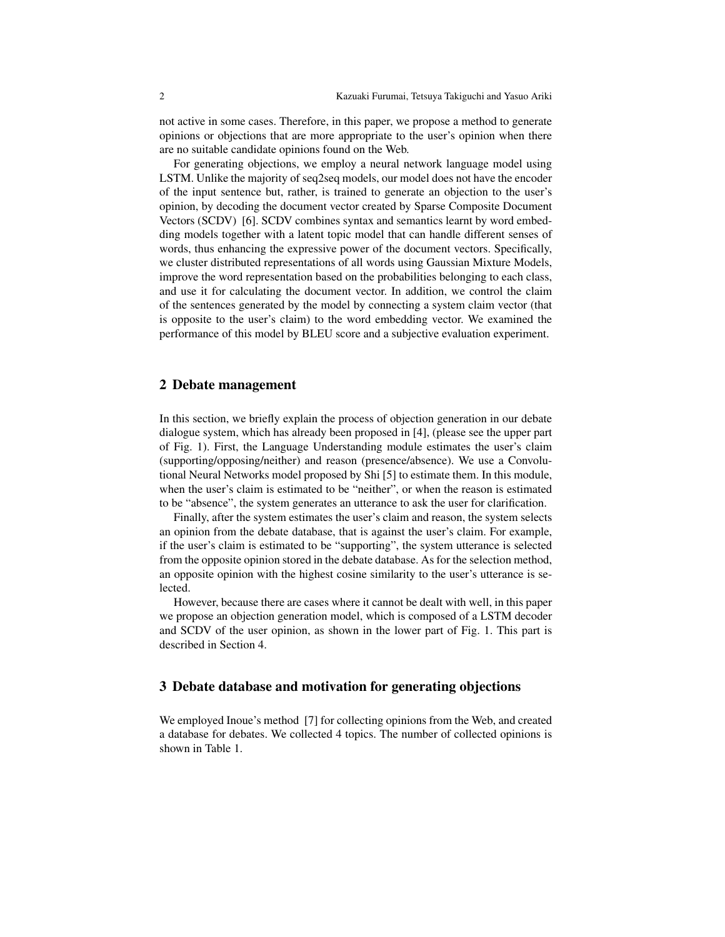not active in some cases. Therefore, in this paper, we propose a method to generate opinions or objections that are more appropriate to the user's opinion when there are no suitable candidate opinions found on the Web.

For generating objections, we employ a neural network language model using LSTM. Unlike the majority of seq2seq models, our model does not have the encoder of the input sentence but, rather, is trained to generate an objection to the user's opinion, by decoding the document vector created by Sparse Composite Document Vectors (SCDV) [6]. SCDV combines syntax and semantics learnt by word embedding models together with a latent topic model that can handle different senses of words, thus enhancing the expressive power of the document vectors. Specifically, we cluster distributed representations of all words using Gaussian Mixture Models, improve the word representation based on the probabilities belonging to each class, and use it for calculating the document vector. In addition, we control the claim of the sentences generated by the model by connecting a system claim vector (that is opposite to the user's claim) to the word embedding vector. We examined the performance of this model by BLEU score and a subjective evaluation experiment.

# 2 Debate management

In this section, we briefly explain the process of objection generation in our debate dialogue system, which has already been proposed in [4], (please see the upper part of Fig. 1). First, the Language Understanding module estimates the user's claim (supporting/opposing/neither) and reason (presence/absence). We use a Convolutional Neural Networks model proposed by Shi [5] to estimate them. In this module, when the user's claim is estimated to be "neither", or when the reason is estimated to be "absence", the system generates an utterance to ask the user for clarification.

Finally, after the system estimates the user's claim and reason, the system selects an opinion from the debate database, that is against the user's claim. For example, if the user's claim is estimated to be "supporting", the system utterance is selected from the opposite opinion stored in the debate database. As for the selection method, an opposite opinion with the highest cosine similarity to the user's utterance is selected.

However, because there are cases where it cannot be dealt with well, in this paper we propose an objection generation model, which is composed of a LSTM decoder and SCDV of the user opinion, as shown in the lower part of Fig. 1. This part is described in Section 4.

## 3 Debate database and motivation for generating objections

We employed Inoue's method [7] for collecting opinions from the Web, and created a database for debates. We collected 4 topics. The number of collected opinions is shown in Table 1.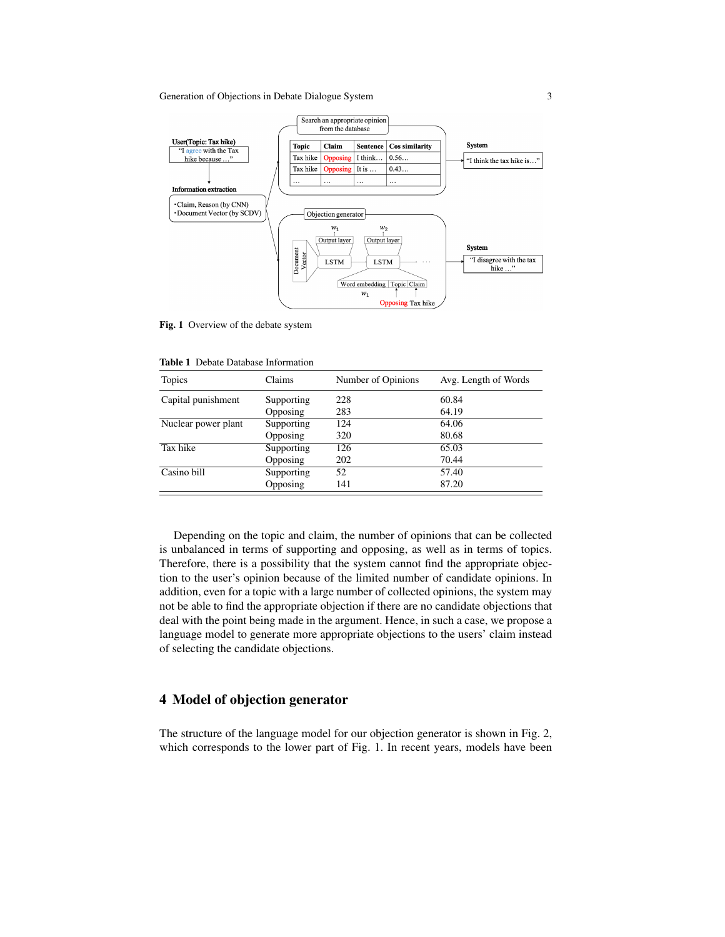#### Generation of Objections in Debate Dialogue System 3



Fig. 1 Overview of the debate system

|  |  |  | <b>Table 1</b> Debate Database Information |
|--|--|--|--------------------------------------------|
|--|--|--|--------------------------------------------|

| Topics              | Claims     | Number of Opinions | Avg. Length of Words |
|---------------------|------------|--------------------|----------------------|
| Capital punishment  | Supporting | 228                | 60.84                |
|                     | Opposing   | 283                | 64.19                |
| Nuclear power plant | Supporting | 124                | 64.06                |
|                     | Opposing   | 320                | 80.68                |
| Tax hike            | Supporting | 126                | 65.03                |
|                     | Opposing   | 202                | 70.44                |
| Casino bill         | Supporting | 52                 | 57.40                |
|                     | Opposing   | 141                | 87.20                |

Depending on the topic and claim, the number of opinions that can be collected is unbalanced in terms of supporting and opposing, as well as in terms of topics. Therefore, there is a possibility that the system cannot find the appropriate objection to the user's opinion because of the limited number of candidate opinions. In addition, even for a topic with a large number of collected opinions, the system may not be able to find the appropriate objection if there are no candidate objections that deal with the point being made in the argument. Hence, in such a case, we propose a language model to generate more appropriate objections to the users' claim instead of selecting the candidate objections.

# 4 Model of objection generator

The structure of the language model for our objection generator is shown in Fig. 2, which corresponds to the lower part of Fig. 1. In recent years, models have been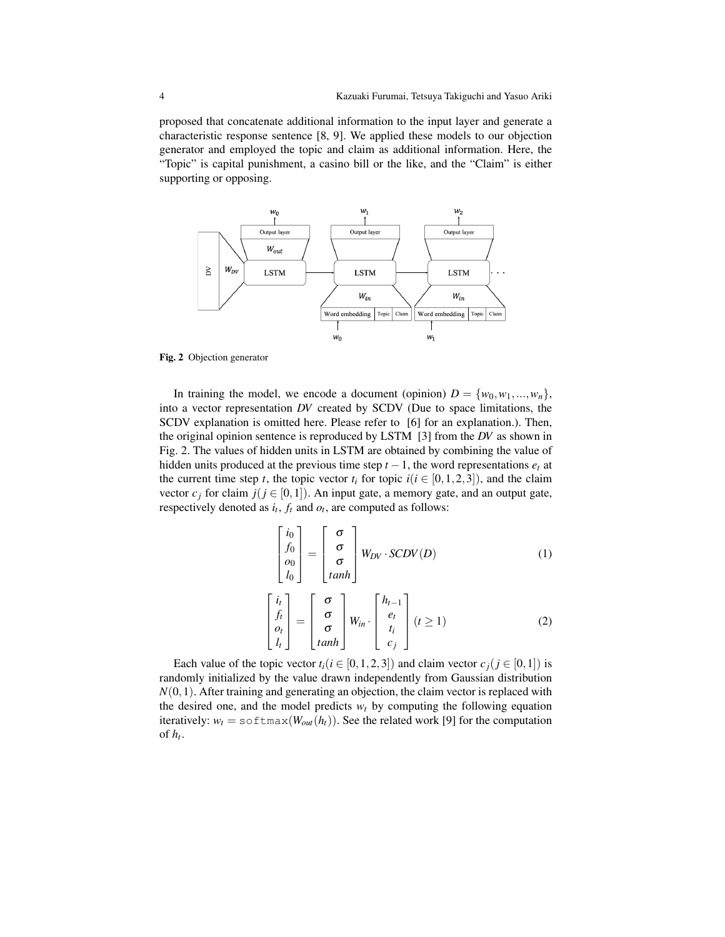proposed that concatenate additional information to the input layer and generate a characteristic response sentence [8, 9]. We applied these models to our objection generator and employed the topic and claim as additional information. Here, the "Topic" is capital punishment, a casino bill or the like, and the "Claim" is either supporting or opposing.



Fig. 2 Objection generator

In training the model, we encode a document (opinion)  $D = \{w_0, w_1, ..., w_n\}$ , into a vector representation *DV* created by SCDV (Due to space limitations, the SCDV explanation is omitted here. Please refer to [6] for an explanation.). Then, the original opinion sentence is reproduced by LSTM [3] from the *DV* as shown in Fig. 2. The values of hidden units in LSTM are obtained by combining the value of hidden units produced at the previous time step  $t - 1$ , the word representations  $e_t$  at the current time step *t*, the topic vector  $t_i$  for topic  $i(i \in [0,1,2,3])$ , and the claim vector  $c_j$  for claim  $j$ ( $j \in [0,1]$ ). An input gate, a memory gate, and an output gate, respectively denoted as  $i_t$ ,  $f_t$  and  $o_t$ , are computed as follows:

$$
\begin{bmatrix} i_0 \\ f_0 \\ o_0 \\ l_0 \end{bmatrix} = \begin{bmatrix} \sigma \\ \sigma \\ \sigma \\ \tanh \end{bmatrix} W_{DV} \cdot SCDV(D) \tag{1}
$$

$$
\begin{bmatrix} i_t \\ f_t \\ o_t \\ l_t \end{bmatrix} = \begin{bmatrix} \sigma \\ \sigma \\ \sigma \\ \tanh \end{bmatrix} W_{in} \cdot \begin{bmatrix} h_{t-1} \\ e_t \\ t_i \\ c_j \end{bmatrix} (t \ge 1)
$$
 (2)

Each value of the topic vector  $t_i$  ( $i \in [0, 1, 2, 3]$ ) and claim vector  $c_j$  ( $j \in [0, 1]$ ) is randomly initialized by the value drawn independently from Gaussian distribution  $N(0,1)$ . After training and generating an objection, the claim vector is replaced with the desired one, and the model predicts  $w_t$  by computing the following equation iteratively:  $w_t = s \circ f \text{Im}(W_{out}(h_t))$ . See the related work [9] for the computation of  $h_t$ .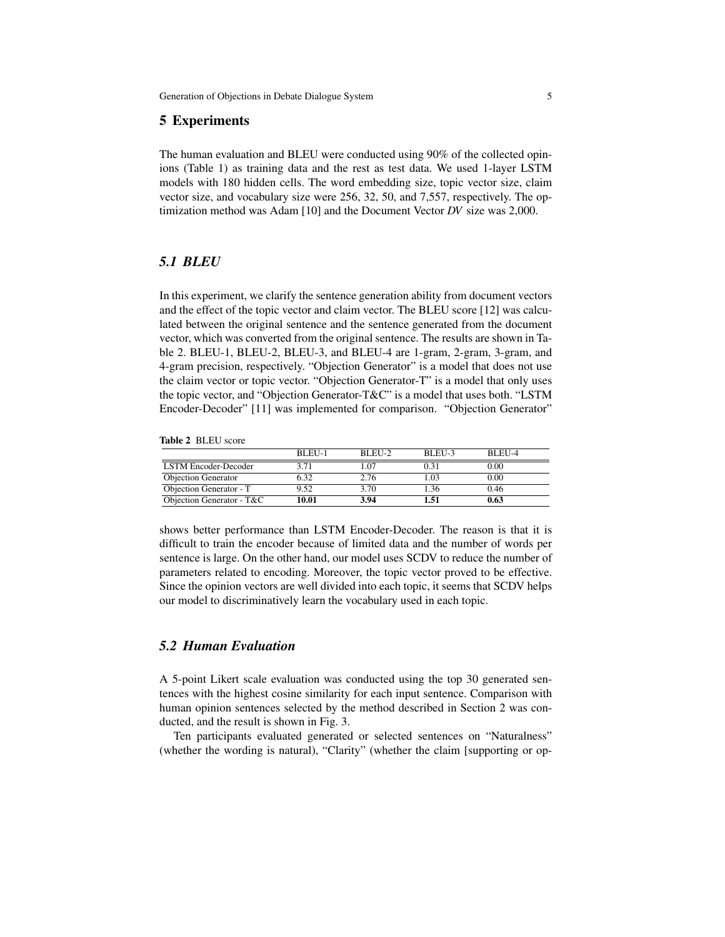# 5 Experiments

The human evaluation and BLEU were conducted using 90% of the collected opinions (Table 1) as training data and the rest as test data. We used 1-layer LSTM models with 180 hidden cells. The word embedding size, topic vector size, claim vector size, and vocabulary size were 256, 32, 50, and 7,557, respectively. The optimization method was Adam [10] and the Document Vector *DV* size was 2,000.

# *5.1 BLEU*

In this experiment, we clarify the sentence generation ability from document vectors and the effect of the topic vector and claim vector. The BLEU score [12] was calculated between the original sentence and the sentence generated from the document vector, which was converted from the original sentence. The results are shown in Table 2. BLEU-1, BLEU-2, BLEU-3, and BLEU-4 are 1-gram, 2-gram, 3-gram, and 4-gram precision, respectively. "Objection Generator" is a model that does not use the claim vector or topic vector. "Objection Generator-T" is a model that only uses the topic vector, and "Objection Generator-T&C" is a model that uses both. "LSTM Encoder-Decoder" [11] was implemented for comparison. "Objection Generator"

Table 2 BLEU score

|                             | BLEU-1 | BLEU-2 | BLEU-3 | BLEU-4 |
|-----------------------------|--------|--------|--------|--------|
| <b>LSTM</b> Encoder-Decoder | 3.71   | 0.07   | 0.31   | 0.00   |
| <b>Objection Generator</b>  | 6.32   | 2.76   | 1.03   | 0.00   |
| Objection Generator - T     | 9.52   | 3.70   | 1.36   | 0.46   |
| Objection Generator - T&C   | 10.01  | 3.94   | 1.51   | 0.63   |

shows better performance than LSTM Encoder-Decoder. The reason is that it is difficult to train the encoder because of limited data and the number of words per sentence is large. On the other hand, our model uses SCDV to reduce the number of parameters related to encoding. Moreover, the topic vector proved to be effective. Since the opinion vectors are well divided into each topic, it seems that SCDV helps our model to discriminatively learn the vocabulary used in each topic.

# *5.2 Human Evaluation*

A 5-point Likert scale evaluation was conducted using the top 30 generated sentences with the highest cosine similarity for each input sentence. Comparison with human opinion sentences selected by the method described in Section 2 was conducted, and the result is shown in Fig. 3.

Ten participants evaluated generated or selected sentences on "Naturalness" (whether the wording is natural), "Clarity" (whether the claim [supporting or op-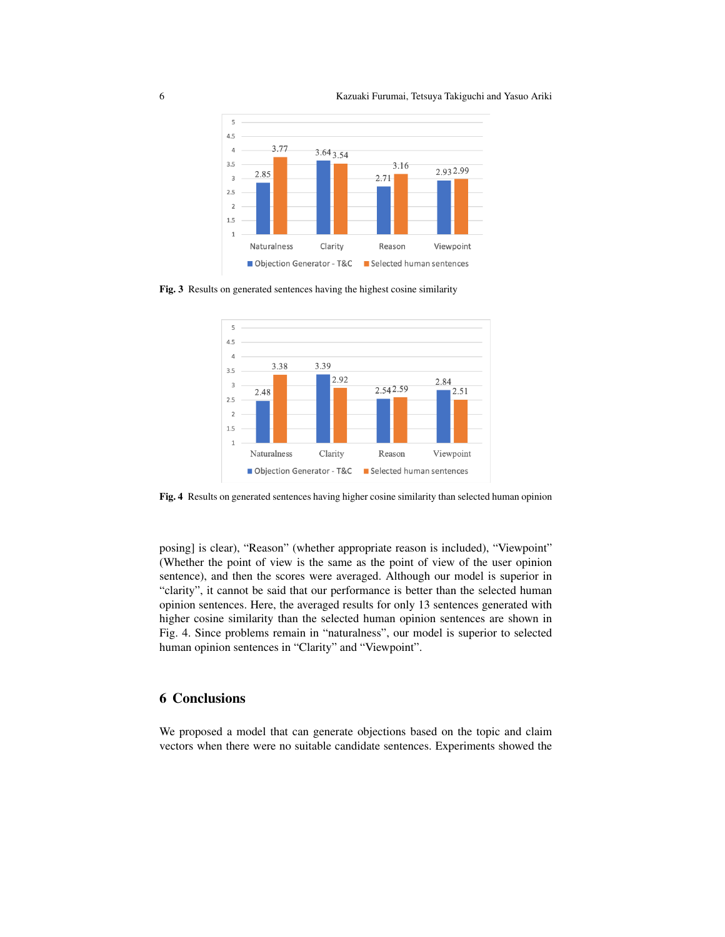

Fig. 3 Results on generated sentences having the highest cosine similarity



Fig. 4 Results on generated sentences having higher cosine similarity than selected human opinion

posing] is clear), "Reason" (whether appropriate reason is included), "Viewpoint" (Whether the point of view is the same as the point of view of the user opinion sentence), and then the scores were averaged. Although our model is superior in "clarity", it cannot be said that our performance is better than the selected human opinion sentences. Here, the averaged results for only 13 sentences generated with higher cosine similarity than the selected human opinion sentences are shown in Fig. 4. Since problems remain in "naturalness", our model is superior to selected human opinion sentences in "Clarity" and "Viewpoint".

# 6 Conclusions

We proposed a model that can generate objections based on the topic and claim vectors when there were no suitable candidate sentences. Experiments showed the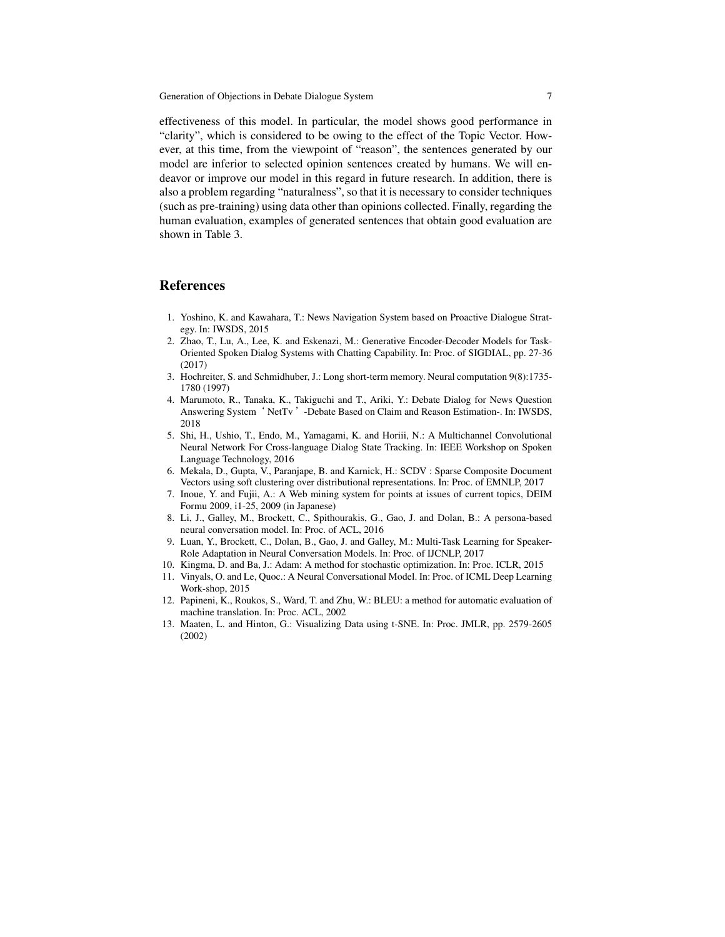effectiveness of this model. In particular, the model shows good performance in "clarity", which is considered to be owing to the effect of the Topic Vector. However, at this time, from the viewpoint of "reason", the sentences generated by our model are inferior to selected opinion sentences created by humans. We will endeavor or improve our model in this regard in future research. In addition, there is also a problem regarding "naturalness", so that it is necessary to consider techniques (such as pre-training) using data other than opinions collected. Finally, regarding the human evaluation, examples of generated sentences that obtain good evaluation are shown in Table 3.

# References

- 1. Yoshino, K. and Kawahara, T.: News Navigation System based on Proactive Dialogue Strategy. In: IWSDS, 2015
- 2. Zhao, T., Lu, A., Lee, K. and Eskenazi, M.: Generative Encoder-Decoder Models for Task-Oriented Spoken Dialog Systems with Chatting Capability. In: Proc. of SIGDIAL, pp. 27-36 (2017)
- 3. Hochreiter, S. and Schmidhuber, J.: Long short-term memory. Neural computation 9(8):1735- 1780 (1997)
- 4. Marumoto, R., Tanaka, K., Takiguchi and T., Ariki, Y.: Debate Dialog for News Question Answering System' NetTv '-Debate Based on Claim and Reason Estimation-. In: IWSDS, 2018
- 5. Shi, H., Ushio, T., Endo, M., Yamagami, K. and Horiii, N.: A Multichannel Convolutional Neural Network For Cross-language Dialog State Tracking. In: IEEE Workshop on Spoken Language Technology, 2016
- 6. Mekala, D., Gupta, V., Paranjape, B. and Karnick, H.: SCDV : Sparse Composite Document Vectors using soft clustering over distributional representations. In: Proc. of EMNLP, 2017
- 7. Inoue, Y. and Fujii, A.: A Web mining system for points at issues of current topics, DEIM Formu 2009, i1-25, 2009 (in Japanese)
- 8. Li, J., Galley, M., Brockett, C., Spithourakis, G., Gao, J. and Dolan, B.: A persona-based neural conversation model. In: Proc. of ACL, 2016
- 9. Luan, Y., Brockett, C., Dolan, B., Gao, J. and Galley, M.: Multi-Task Learning for Speaker-Role Adaptation in Neural Conversation Models. In: Proc. of IJCNLP, 2017
- 10. Kingma, D. and Ba, J.: Adam: A method for stochastic optimization. In: Proc. ICLR, 2015
- 11. Vinyals, O. and Le, Quoc.: A Neural Conversational Model. In: Proc. of ICML Deep Learning Work-shop, 2015
- 12. Papineni, K., Roukos, S., Ward, T. and Zhu, W.: BLEU: a method for automatic evaluation of machine translation. In: Proc. ACL, 2002
- 13. Maaten, L. and Hinton, G.: Visualizing Data using t-SNE. In: Proc. JMLR, pp. 2579-2605 (2002)